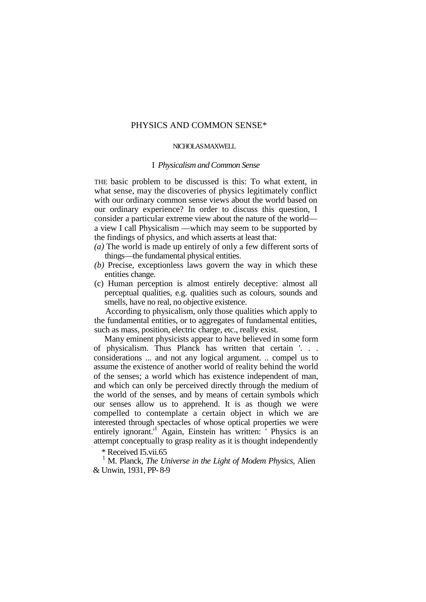#### NICHOLASMAXWELL

#### I *Physicalism and Common Sense*

THE basic problem to be discussed is this: To what extent, in what sense, may the discoveries of physics legitimately conflict with our ordinary common sense views about the world based on our ordinary experience? In order to discuss this question, I consider a particular extreme view about the nature of the world a view I call Physicalism —which may seem to be supported by the findings of physics, and which asserts at least that:

- *(a)* The world is made up entirely of only a few different sorts of things—the fundamental physical entities.
- *(b)* Precise, exceptionless laws govern the way in which these entities change.
- (c) Human perception is almost entirely deceptive: almost all perceptual qualities, e.g. qualities such as colours, sounds and smells, have no real, no objective existence.

According to physicalism, only those qualities which apply to the fundamental entities, or to aggregates of fundamental entities, such as mass, position, electric charge, etc., really exist.

Many eminent physicists appear to have believed in some form of physicalism. Thus Planck has written that certain '. . . considerations ... and not any logical argument. .. compel us to assume the existence of another world of reality behind the world of the senses; a world which has existence independent of man, and which can only be perceived directly through the medium of the world of the senses, and by means of certain symbols which our senses allow us to apprehend. It is as though we were compelled to contemplate a certain object in which we are interested through spectacles of whose optical properties we were entirely ignorant.<sup>1</sup> Again, Einstein has written: <sup>1</sup> Physics is an attempt conceptually to grasp reality as it is thought independently

\* Received I5.vii.65

<sup>1</sup> M. Planck, *The Universe in the Light of Modem Physics,* Alien & Unwin, 1931, PP- 8-9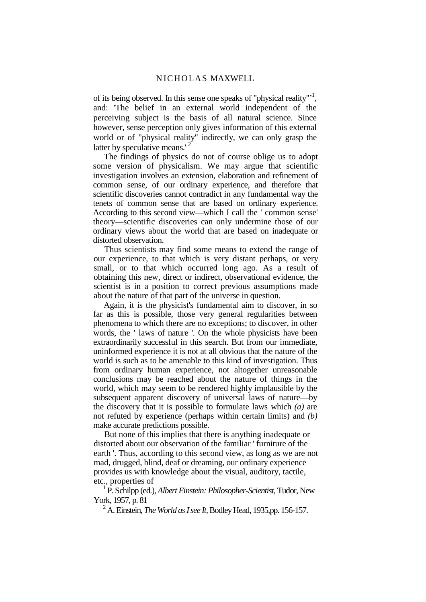of its being observed. In this sense one speaks of "physical reality"<sup>1</sup>, and: 'The belief in an external world independent of the perceiving subject is the basis of all natural science. Since however, sense perception only gives information of this external world or of "physical reality" indirectly, we can only grasp the latter by speculative means. $^2$ 

The findings of physics do not of course oblige us to adopt some version of physicalism. We may argue that scientific investigation involves an extension, elaboration and refinement of common sense, of our ordinary experience, and therefore that scientific discoveries cannot contradict in any fundamental way the tenets of common sense that are based on ordinary experience. According to this second view—which I call the ' common sense' theory—scientific discoveries can only undermine those of our ordinary views about the world that are based on inadequate or distorted observation.

Thus scientists may find some means to extend the range of our experience, to that which is very distant perhaps, or very small, or to that which occurred long ago. As a result of obtaining this new, direct or indirect, observational evidence, the scientist is in a position to correct previous assumptions made about the nature of that part of the universe in question.

Again, it is the physicist's fundamental aim to discover, in so far as this is possible, those very general regularities between phenomena to which there are no exceptions; to discover, in other words, the ' laws of nature '. On the whole physicists have been extraordinarily successful in this search. But from our immediate, uninformed experience it is not at all obvious that the nature of the world is such as to be amenable to this kind of investigation. Thus from ordinary human experience, not altogether unreasonable conclusions may be reached about the nature of things in the world, which may seem to be rendered highly implausible by the subsequent apparent discovery of universal laws of nature—by the discovery that it is possible to formulate laws which *(a)* are not refuted by experience (perhaps within certain limits) and *(b)* make accurate predictions possible.

But none of this implies that there is anything inadequate or distorted about our observation of the familiar ' furniture of the earth '. Thus, according to this second view, as long as we are not mad, drugged, blind, deaf or dreaming, our ordinary experience provides us with knowledge about the visual, auditory, tactile, etc., properties of

1 P. Schilpp (ed.), *Albert Einstein: Philosopher-Scientist,* Tudor, New York, 1957, p. 81

<sup>2</sup> A. Einstein, *The World as I see It*, Bodley Head, 1935,pp. 156-157.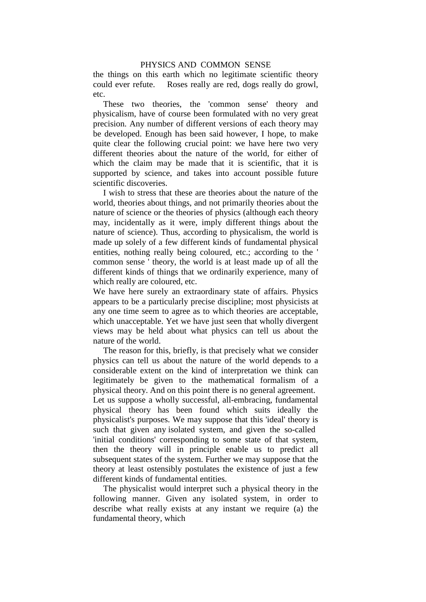the things on this earth which no legitimate scientific theory could ever refute. Roses really are red, dogs really do growl, etc.

These two theories, the 'common sense' theory and physicalism, have of course been formulated with no very great precision. Any number of different versions of each theory may be developed. Enough has been said however, I hope, to make quite clear the following crucial point: we have here two very different theories about the nature of the world, for either of which the claim may be made that it is scientific, that it is supported by science, and takes into account possible future scientific discoveries.

I wish to stress that these are theories about the nature of the world, theories about things, and not primarily theories about the nature of science or the theories of physics (although each theory may, incidentally as it were, imply different things about the nature of science). Thus, according to physicalism, the world is made up solely of a few different kinds of fundamental physical entities, nothing really being coloured, etc.; according to the ' common sense ' theory, the world is at least made up of all the different kinds of things that we ordinarily experience, many of which really are coloured, etc.

We have here surely an extraordinary state of affairs. Physics appears to be a particularly precise discipline; most physicists at any one time seem to agree as to which theories are acceptable, which unacceptable. Yet we have just seen that wholly divergent views may be held about what physics can tell us about the nature of the world.

The reason for this, briefly, is that precisely what we consider physics can tell us about the nature of the world depends to a considerable extent on the kind of interpretation we think can legitimately be given to the mathematical formalism of a physical theory. And on this point there is no general agreement. Let us suppose a wholly successful, all-embracing, fundamental physical theory has been found which suits ideally the physicalist's purposes. We may suppose that this 'ideal' theory is such that given any isolated system, and given the so-called 'initial conditions' corresponding to some state of that system, then the theory will in principle enable us to predict all subsequent states of the system. Further we may suppose that the theory at least ostensibly postulates the existence of just a few different kinds of fundamental entities.

The physicalist would interpret such a physical theory in the following manner. Given any isolated system, in order to describe what really exists at any instant we require (a) the fundamental theory, which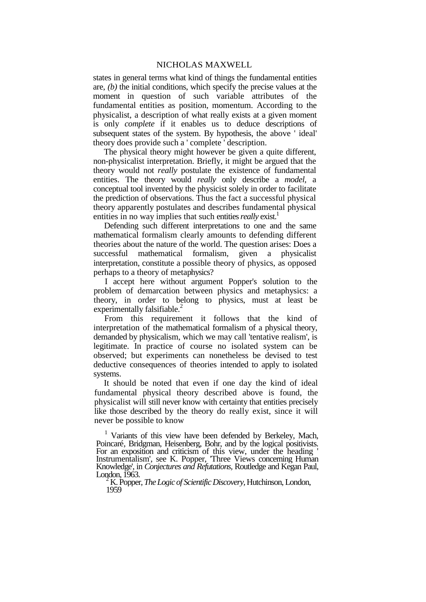states in general terms what kind of things the fundamental entities are, *(b)* the initial conditions, which specify the precise values at the moment in question of such variable attributes of the fundamental entities as position, momentum. According to the physicalist, a description of what really exists at a given moment is only *complete* if it enables us to deduce descriptions of subsequent states of the system. By hypothesis, the above ' ideal' theory does provide such a ' complete ' description.

The physical theory might however be given a quite different, non-physicalist interpretation. Briefly, it might be argued that the theory would not *really* postulate the existence of fundamental entities. The theory would *really* only describe a *model,* a conceptual tool invented by the physicist solely in order to facilitate the prediction of observations. Thus the fact a successful physical theory apparently postulates and describes fundamental physical entities in no way implies that such entities *really* exist.<sup>1</sup>

Defending such different interpretations to one and the same mathematical formalism clearly amounts to defending different theories about the nature of the world. The question arises: Does a successful mathematical formalism, given a physicalist interpretation, constitute a possible theory of physics, as opposed perhaps to a theory of metaphysics?

I accept here without argument Popper's solution to the problem of demarcation between physics and metaphysics: a theory, in order to belong to physics, must at least be experimentally falsifiable.<sup>2</sup>

From this requirement it follows that the kind of interpretation of the mathematical formalism of a physical theory, demanded by physicalism, which we may call 'tentative realism', is legitimate. In practice of course no isolated system can be observed; but experiments can nonetheless be devised to test deductive consequences of theories intended to apply to isolated systems.

It should be noted that even if one day the kind of ideal fundamental physical theory described above is found, the physicalist will still never know with certainty that entities precisely like those described by the theory do really exist, since it will never be possible to know

<sup>1</sup> Variants of this view have been defended by Berkeley, Mach, Poincaré, Bridgman, Heisenberg, Bohr, and by the logical positivists. For an exposition and criticism of this view, under the heading Instrumentalism', see K. Popper, 'Three Views concerning Human Knowledge', in *Conjectures and Refutations,* Routledge and Kegan Paul, London, 1963. <sup>2</sup> K. Popper, *The Logic of Scientific Discovery,*Hutchinson, London,

1959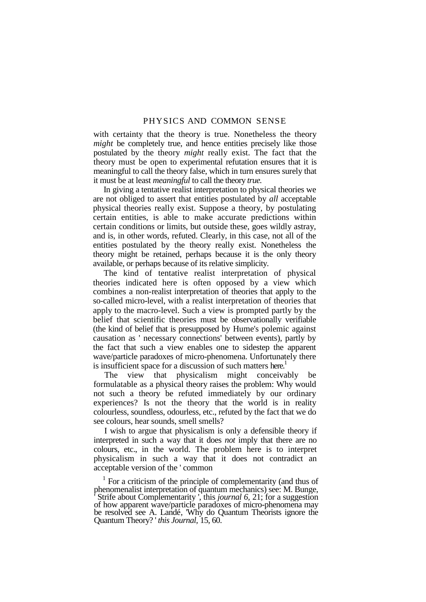with certainty that the theory is true. Nonetheless the theory *might* be completely true, and hence entities precisely like those postulated by the theory *might* really exist. The fact that the theory must be open to experimental refutation ensures that it is meaningful to call the theory false, which in turn ensures surely that it must be at least *meaningful* to call the theory *true.*

In giving a tentative realist interpretation to physical theories we are not obliged to assert that entities postulated by *all* acceptable physical theories really exist. Suppose a theory, by postulating certain entities, is able to make accurate predictions within certain conditions or limits, but outside these, goes wildly astray, and is, in other words, refuted. Clearly, in this case, not all of the entities postulated by the theory really exist. Nonetheless the theory might be retained, perhaps because it is the only theory available, or perhaps because of its relative simplicity.

The kind of tentative realist interpretation of physical theories indicated here is often opposed by a view which combines a non-realist interpretation of theories that apply to the so-called micro-level, with a realist interpretation of theories that apply to the macro-level. Such a view is prompted partly by the belief that scientific theories must be observationally verifiable (the kind of belief that is presupposed by Hume's polemic against causation as ' necessary connections' between events), partly by the fact that such a view enables one to sidestep the apparent wave/particle paradoxes of micro-phenomena. Unfortunately there is insufficient space for a discussion of such matters here.<sup>1</sup>

The view that physicalism might conceivably formulatable as a physical theory raises the problem: Why would not such a theory be refuted immediately by our ordinary experiences? Is not the theory that the world is in reality colourless, soundless, odourless, etc., refuted by the fact that we do see colours, hear sounds, smell smells?

I wish to argue that physicalism is only a defensible theory if interpreted in such a way that it does *not* imply that there are no colours, etc., in the world. The problem here is to interpret physicalism in such a way that it does not contradict an acceptable version of the ' common

<sup>1</sup> For a criticism of the principle of complementarity (and thus of phenomenalist interpretation of quantum mechanics) see: M. Bunge, ' Strife about Complementarity ', this *journal 6,* 21; for a suggestion of how apparent wave/particle paradoxes of micro-phenomena may be resolved see A. Landé, 'Why do Quantum Theorists ignore the Quantum Theory? ' *this Journal,* 15, 60.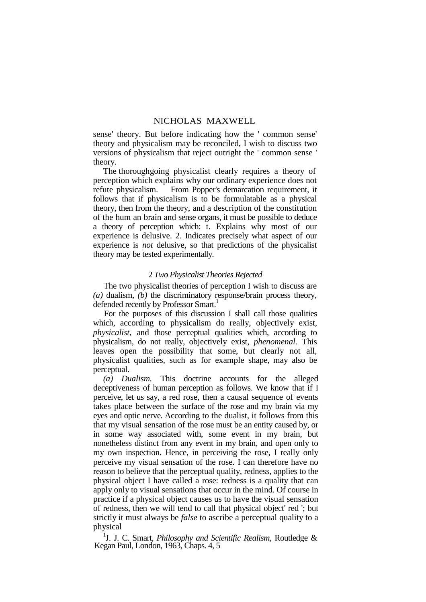sense' theory. But before indicating how the ' common sense' theory and physicalism may be reconciled, I wish to discuss two versions of physicalism that reject outright the ' common sense ' theory.

The thoroughgoing physicalist clearly requires a theory of perception which explains why our ordinary experience does not refute physicalism. From Popper's demarcation requirement, it follows that if physicalism is to be formulatable as a physical theory, then from the theory, and a description of the constitution of the hum an brain and sense organs, it must be possible to deduce a theory of perception which: t. Explains why most of our experience is delusive. 2. Indicates precisely what aspect of our experience is *not* delusive, so that predictions of the physicalist theory may be tested experimentally.

#### 2 *Two Physicalist Theories Rejected*

The two physicalist theories of perception I wish to discuss are *(a)* dualism, *(b)* the discriminatory response/brain process theory, defended recently by Professor Smart.<sup>1</sup>

For the purposes of this discussion I shall call those qualities which, according to physicalism do really, objectively exist. *physicalist,* and those perceptual qualities which, according to physicalism, do not really, objectively exist, *phenomenal.* This leaves open the possibility that some, but clearly not all, physicalist qualities, such as for example shape, may also be perceptual.

*(a) Dualism.* This doctrine accounts for the alleged deceptiveness of human perception as follows. We know that if I perceive, let us say, a red rose, then a causal sequence of events takes place between the surface of the rose and my brain via my eyes and optic nerve. According to the dualist, it follows from this that my visual sensation of the rose must be an entity caused by, or in some way associated with, some event in my brain, but nonetheless distinct from any event in my brain, and open only to my own inspection. Hence, in perceiving the rose, I really only perceive my visual sensation of the rose. I can therefore have no reason to believe that the perceptual quality, redness, applies to the physical object I have called a rose: redness is a quality that can apply only to visual sensations that occur in the mind. Of course in practice if a physical object causes us to have the visual sensation of redness, then we will tend to call that physical object' red '; but strictly it must always be *false* to ascribe a perceptual quality to a physical

1 J. J. C. Smart, *Philosophy and Scientific Realism,* Routledge & Kegan Paul, London, 1963, Chaps. 4, 5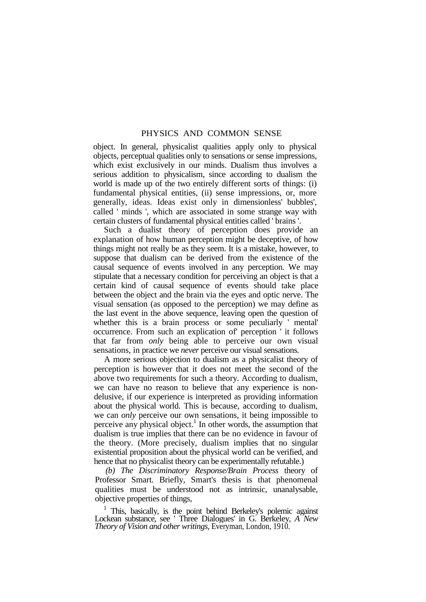object. In general, physicalist qualities apply only to physical objects, perceptual qualities only to sensations or sense impressions, which exist exclusively in our minds. Dualism thus involves a serious addition to physicalism, since according to dualism the world is made up of the two entirely different sorts of things: (i) fundamental physical entities, (ii) sense impressions, or, more generally, ideas. Ideas exist only in dimensionless' bubbles', called ' minds ', which are associated in some strange way with certain clusters of fundamental physical entities called ' brains '.

Such a dualist theory of perception does provide an explanation of how human perception might be deceptive, of how things might not really be as they seem. It is a mistake, however, to suppose that dualism can be derived from the existence of the causal sequence of events involved in any perception. We may stipulate that a necessary condition for perceiving an object is that a certain kind of causal sequence of events should take place between the object and the brain via the eyes and optic nerve. The visual sensation (as opposed to the perception) we may define as the last event in the above sequence, leaving open the question of whether this is a brain process or some peculiarly ' mental' occurrence. From such an explication of' perception ' it follows that far from *only* being able to perceive our own visual sensations, in practice we *never* perceive our visual sensations.

A more serious objection to dualism as a physicalist theory of perception is however that it does not meet the second of the above two requirements for such a theory. According to dualism, we can have no reason to believe that any experience is nondelusive, if our experience is interpreted as providing information about the physical world. This is because, according to dualism, we can *only* perceive our own sensations, it being impossible to perceive any physical object.<sup>1</sup> In other words, the assumption that dualism is true implies that there can be no evidence in favour of the theory. (More precisely, dualism implies that no singular existential proposition about the physical world can be verified, and hence that no physicalist theory can be experimentally refutable.)

*(b) The Discriminatory Response/Brain Process* theory of Professor Smart. Briefly, Smart's thesis is that phenomenal qualities must be understood not as intrinsic, unanalysable, objective properties of things,

1 This, basically, is the point behind Berkeley's polemic against Lockean substance, see ' Three Dialogues' in G. Berkeley, *A New Theory of Vision and other writings,* Everyman, London, 1910.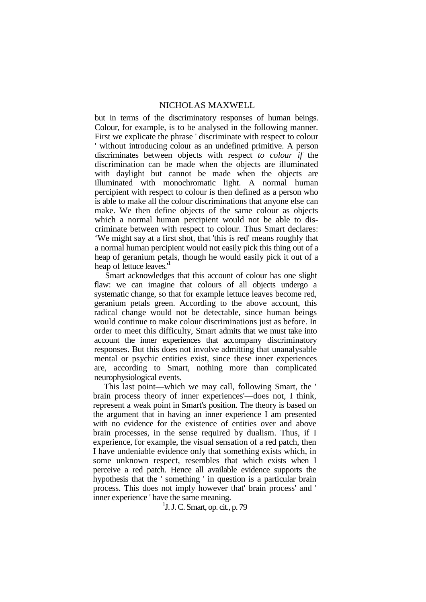but in terms of the discriminatory responses of human beings. Colour, for example, is to be analysed in the following manner. First we explicate the phrase ' discriminate with respect to colour ' without introducing colour as an undefined primitive. A person discriminates between objects with respect *to colour if* the discrimination can be made when the objects are illuminated with daylight but cannot be made when the objects are illuminated with monochromatic light. A normal human percipient with respect to colour is then defined as a person who is able to make all the colour discriminations that anyone else can make. We then define objects of the same colour as objects which a normal human percipient would not be able to discriminate between with respect to colour. Thus Smart declares: 'We might say at a first shot, that 'this is red' means roughly that a normal human percipient would not easily pick this thing out of a heap of geranium petals, though he would easily pick it out of a heap of lettuce leaves.<sup>1</sup>

Smart acknowledges that this account of colour has one slight flaw: we can imagine that colours of all objects undergo a systematic change, so that for example lettuce leaves become red, geranium petals green. According to the above account, this radical change would not be detectable, since human beings would continue to make colour discriminations just as before. In order to meet this difficulty, Smart admits that we must take into account the inner experiences that accompany discriminatory responses. But this does not involve admitting that unanalysable mental or psychic entities exist, since these inner experiences are, according to Smart, nothing more than complicated neurophysiological events.

This last point—which we may call, following Smart, the ' brain process theory of inner experiences'—does not, I think, represent a weak point in Smart's position. The theory is based on the argument that in having an inner experience I am presented with no evidence for the existence of entities over and above brain processes, in the sense required by dualism. Thus, if I experience, for example, the visual sensation of a red patch, then I have undeniable evidence only that something exists which, in some unknown respect, resembles that which exists when I perceive a red patch. Hence all available evidence supports the hypothesis that the ' something ' in question is a particular brain process. This does not imply however that' brain process' and ' inner experience ' have the same meaning.

<sup>1</sup>J. J. C. Smart, op. cit., p. 79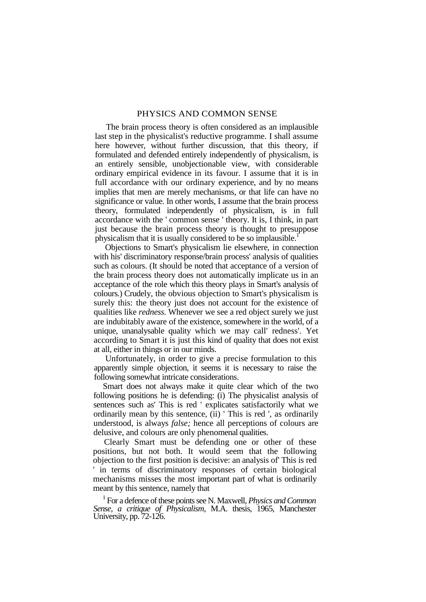The brain process theory is often considered as an implausible last step in the physicalist's reductive programme. I shall assume here however, without further discussion, that this theory, if formulated and defended entirely independently of physicalism, is an entirely sensible, unobjectionable view, with considerable ordinary empirical evidence in its favour. I assume that it is in full accordance with our ordinary experience, and by no means implies that men are merely mechanisms, or that life can have no significance or value. In other words, I assume that the brain process theory, formulated independently of physicalism, is in full accordance with the ' common sense ' theory. It is, I think, in part just because the brain process theory is thought to presuppose physicalism that it is usually considered to be so implausible.<sup>1</sup>

Objections to Smart's physicalism lie elsewhere, in connection with his' discriminatory response/brain process' analysis of qualities such as colours. (It should be noted that acceptance of a version of the brain process theory does not automatically implicate us in an acceptance of the role which this theory plays in Smart's analysis of colours.) Crudely, the obvious objection to Smart's physicalism is surely this: the theory just does not account for the existence of qualities like *redness.* Whenever we see a red object surely we just are indubitably aware of the existence, somewhere in the world, of a unique, unanalysable quality which we may call' redness'. Yet according to Smart it is just this kind of quality that does not exist at all, either in things or in our minds.

Unfortunately, in order to give a precise formulation to this apparently simple objection, it seems it is necessary to raise the following somewhat intricate considerations.

Smart does not always make it quite clear which of the two following positions he is defending: (i) The physicalist analysis of sentences such as' This is red ' explicates satisfactorily what we ordinarily mean by this sentence, (ii) ' This is red ', as ordinarily understood, is always *false;* hence all perceptions of colours are delusive, and colours are only phenomenal qualities.

Clearly Smart must be defending one or other of these positions, but not both. It would seem that the following objection to the first position is decisive: an analysis of' This is red ' in terms of discriminatory responses of certain biological mechanisms misses the most important part of what is ordinarily meant by this sentence, namely that

1 For a defence of these points see N. Maxwell, *Physics and Common Sense, a critique of Physicalism,* M.A. thesis, 1965, Manchester University, pp. 72-126.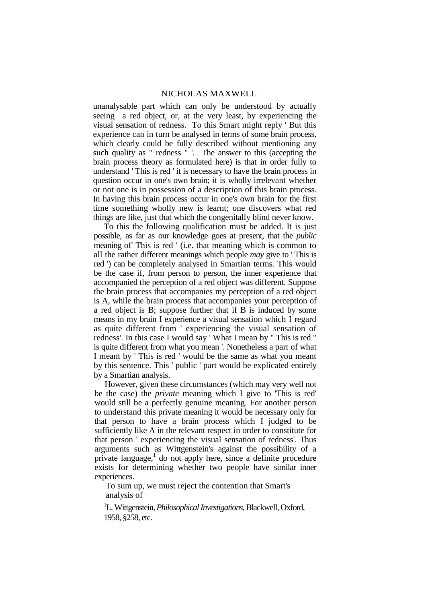unanalysable part which can only be understood by actually seeing a red object, or, at the very least, by experiencing the visual sensation of redness. To this Smart might reply ' But this experience can in turn be analysed in terms of some brain process, which clearly could be fully described without mentioning any such quality as " redness " '. The answer to this (accepting the brain process theory as formulated here) is that in order fully to understand ' This is red ' it is necessary to have the brain process in question occur in one's own brain; it is wholly irrelevant whether or not one is in possession of a description of this brain process. In having this brain process occur in one's own brain for the first time something wholly new is learnt; one discovers what red things are like, just that which the congenitally blind never know.

To this the following qualification must be added. It is just possible, as far as our knowledge goes at present, that the *public* meaning of' This is red ' (i.e. that meaning which is common to all the rather different meanings which people *may* give to ' This is red ') can be completely analysed in Smartian terms. This would be the case if, from person to person, the inner experience that accompanied the perception of a red object was different. Suppose the brain process that accompanies my perception of a red object is A, while the brain process that accompanies your perception of a red object is B; suppose further that if B is induced by some means in my brain I experience a visual sensation which I regard as quite different from ' experiencing the visual sensation of redness'. In this case I would say ' What I mean by " This is red " is quite different from what you mean '. Nonetheless a part of what I meant by ' This is red ' would be the same as what you meant by this sentence. This ' public ' part would be explicated entirely by a Smartian analysis.

However, given these circumstances (which may very well not be the case) the *private* meaning which I give to 'This is red' would still be a perfectly genuine meaning. For another person to understand this private meaning it would be necessary only for that person to have a brain process which I judged to be sufficiently like A in the relevant respect in order to constitute for that person ' experiencing the visual sensation of redness'. Thus arguments such as Wittgenstein's against the possibility of a private language,<sup>1</sup> do not apply here, since a definite procedure exists for determining whether two people have similar inner experiences.

To sum up, we must reject the contention that Smart's analysis of

<sup>1</sup>L. Wittgenstein, *Philosophical Investigations*, Blackwell, Oxford, 1958, §258, etc.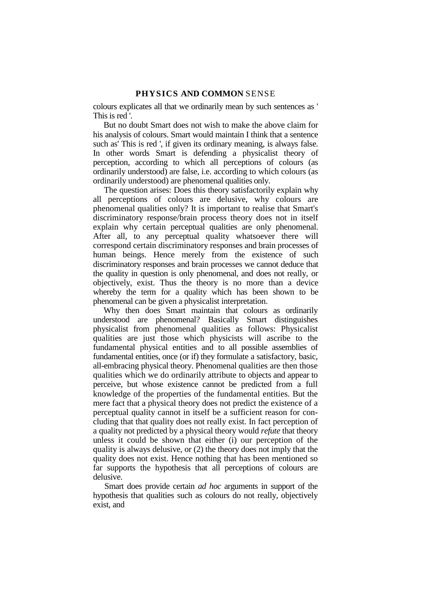colours explicates all that we ordinarily mean by such sentences as ' This is red '.

But no doubt Smart does not wish to make the above claim for his analysis of colours. Smart would maintain I think that a sentence such as' This is red ', if given its ordinary meaning, is always false. In other words Smart is defending a physicalist theory of perception, according to which all perceptions of colours (as ordinarily understood) are false, i.e. according to which colours (as ordinarily understood) are phenomenal qualities only.

The question arises: Does this theory satisfactorily explain why all perceptions of colours are delusive, why colours are phenomenal qualities only? It is important to realise that Smart's discriminatory response/brain process theory does not in itself explain why certain perceptual qualities are only phenomenal. After all, to any perceptual quality whatsoever there will correspond certain discriminatory responses and brain processes of human beings. Hence merely from the existence of such discriminatory responses and brain processes we cannot deduce that the quality in question is only phenomenal, and does not really, or objectively, exist. Thus the theory is no more than a device whereby the term for a quality which has been shown to be phenomenal can be given a physicalist interpretation.

Why then does Smart maintain that colours as ordinarily understood are phenomenal? Basically Smart distinguishes physicalist from phenomenal qualities as follows: Physicalist qualities are just those which physicists will ascribe to the fundamental physical entities and to all possible assemblies of fundamental entities, once (or if) they formulate a satisfactory, basic, all-embracing physical theory. Phenomenal qualities are then those qualities which we do ordinarily attribute to objects and appear to perceive, but whose existence cannot be predicted from a full knowledge of the properties of the fundamental entities. But the mere fact that a physical theory does not predict the existence of a perceptual quality cannot in itself be a sufficient reason for concluding that that quality does not really exist. In fact perception of a quality not predicted by a physical theory would *refute* that theory unless it could be shown that either (i) our perception of the quality is always delusive, or (2) the theory does not imply that the quality does not exist. Hence nothing that has been mentioned so far supports the hypothesis that all perceptions of colours are delusive.

Smart does provide certain *ad hoc* arguments in support of the hypothesis that qualities such as colours do not really, objectively exist, and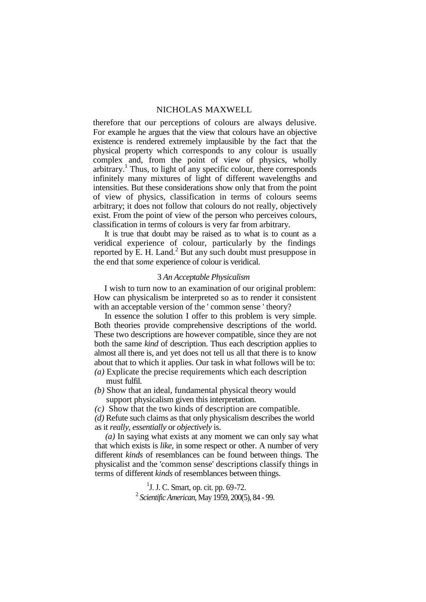therefore that our perceptions of colours are always delusive. For example he argues that the view that colours have an objective existence is rendered extremely implausible by the fact that the physical property which corresponds to any colour is usually complex and, from the point of view of physics, wholly arbitrary.<sup>1</sup> Thus, to light of any specific colour, there corresponds infinitely many mixtures of light of different wavelengths and intensities. But these considerations show only that from the point of view of physics, classification in terms of colours seems arbitrary; it does not follow that colours do not really, objectively exist. From the point of view of the person who perceives colours, classification in terms of colours is very far from arbitrary.

It is true that doubt may be raised as to what is to count as a veridical experience of colour, particularly by the findings reported by E. H. Land.<sup>2</sup> But any such doubt must presuppose in the end that *some* experience of colour is veridical.

## 3 *An Acceptable Physicalism*

I wish to turn now to an examination of our original problem: How can physicalism be interpreted so as to render it consistent with an acceptable version of the ' common sense ' theory?

In essence the solution I offer to this problem is very simple. Both theories provide comprehensive descriptions of the world. These two descriptions are however compatible, since they are not both the same *kind* of description. Thus each description applies to almost all there is, and yet does not tell us all that there is to know about that to which it applies. Our task in what follows will be to: *(a)* Explicate the precise requirements which each description

- must fulfil.
- *(b)* Show that an ideal, fundamental physical theory would support physicalism given this interpretation.

*(c)* Show that the two kinds of description are compatible. *(d)* Refute such claims as that only physicalism describes the world as it *really, essentially* or *objectively* is.

*(a)* In saying what exists at any moment we can only say what that which exists is *like,* in some respect or other. A number of very different *kinds* of resemblances can be found between things. The physicalist and the 'common sense' descriptions classify things in terms of different *kinds* of resemblances between things.

> <sup>1</sup>J. J. C. Smart, op. cit. pp. 69-72. 2 *Scientific American,* May 1959, 200(5), 84 - 99.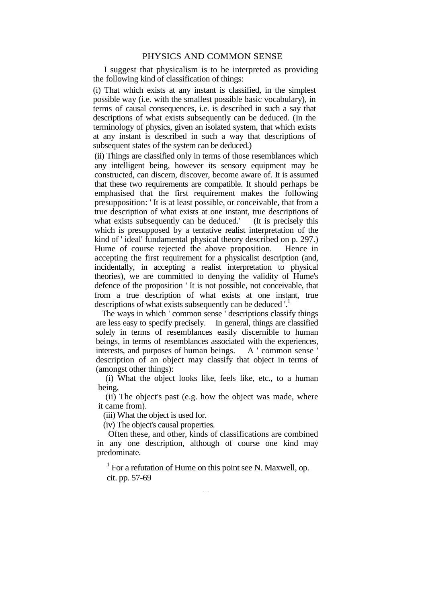I suggest that physicalism is to be interpreted as providing the following kind of classification of things:

(i) That which exists at any instant is classified, in the simplest possible way (i.e. with the smallest possible basic vocabulary), in terms of causal consequences, i.e. is described in such a say that descriptions of what exists subsequently can be deduced. (In the terminology of physics, given an isolated system, that which exists at any instant is described in such a way that descriptions of subsequent states of the system can be deduced.)

(ii) Things are classified only in terms of those resemblances which any intelligent being, however its sensory equipment may be constructed, can discern, discover, become aware of. It is assumed that these two requirements are compatible. It should perhaps be emphasised that the first requirement makes the following presupposition: ' It is at least possible, or conceivable, that from a true description of what exists at one instant, true descriptions of what exists subsequently can be deduced.' (It is precisely this which is presupposed by a tentative realist interpretation of the kind of ' ideal' fundamental physical theory described on p. 297.) Hume of course rejected the above proposition. Hence in accepting the first requirement for a physicalist description (and, incidentally, in accepting a realist interpretation to physical theories), we are committed to denying the validity of Hume's defence of the proposition ' It is not possible, not conceivable, that from a true description of what exists at one instant, true descriptions of what exists subsequently can be deduced '.<sup>1</sup>

The ways in which ' common sense ' descriptions classify things are less easy to specify precisely. In general, things are classified solely in terms of resemblances easily discernible to human beings, in terms of resemblances associated with the experiences, interests, and purposes of human beings. A ' common sense ' description of an object may classify that object in terms of (amongst other things):

(i) What the object looks like, feels like, etc., to a human being,

(ii) The object's past (e.g. how the object was made, where it came from).

(iii) What the object is used for.

(iv) The object's causal properties.

Often these, and other, kinds of classifications are combined in any one description, although of course one kind may predominate.

<sup>1</sup> For a refutation of Hume on this point see N. Maxwell, op. cit. pp. 57-69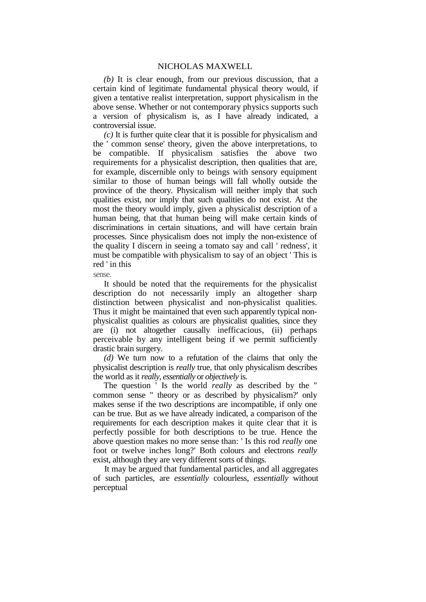*(b)* It is clear enough, from our previous discussion, that a certain kind of legitimate fundamental physical theory would, if given a tentative realist interpretation, support physicalism in the above sense. Whether or not contemporary physics supports such a version of physicalism is, as I have already indicated, a controversial issue.

*(c)* It is further quite clear that it is possible for physicalism and the ' common sense' theory, given the above interpretations, to be compatible. If physicalism satisfies the above two requirements for a physicalist description, then qualities that are, for example, discernible only to beings with sensory equipment similar to those of human beings will fall wholly outside the province of the theory. Physicalism will neither imply that such qualities exist, nor imply that such qualities do not exist. At the most the theory would imply, given a physicalist description of a human being, that that human being will make certain kinds of discriminations in certain situations, and will have certain brain processes. Since physicalism does not imply the non-existence of the quality I discern in seeing a tomato say and call ' redness', it must be compatible with physicalism to say of an object ' This is red ' in this

sense.

It should be noted that the requirements for the physicalist description do not necessarily imply an altogether sharp distinction between physicalist and non-physicalist qualities. Thus it might be maintained that even such apparently typical nonphysicalist qualities as colours are physicalist qualities, since they are (i) not altogether causally inefficacious, (ii) perhaps perceivable by any intelligent being if we permit sufficiently drastic brain surgery.

*(d)* We turn now to a refutation of the claims that only the physicalist description is *really* true, that only physicalism describes the world as it *really, essentially* or *objectively* is.

The question ' Is the world *really* as described by the '' common sense " theory or as described by physicalism?' only makes sense if the two descriptions are incompatible, if only one can be true. But as we have already indicated, a comparison of the requirements for each description makes it quite clear that it is perfectly possible for both descriptions to be true. Hence the above question makes no more sense than: ' Is this rod *really* one foot or twelve inches long?' Both colours and electrons *really* exist, although they are very different sorts of things.

It may be argued that fundamental particles, and all aggregates of such particles, are *essentially* colourless, *essentially* without perceptual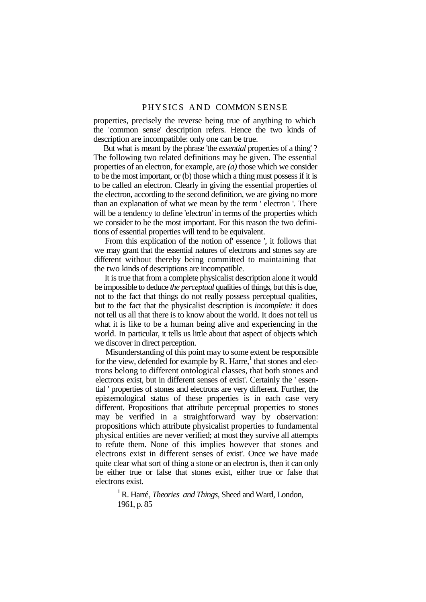properties, precisely the reverse being true of anything to which the 'common sense' description refers. Hence the two kinds of description are incompatible: only one can be true.

But what is meant by the phrase 'the *essential* properties of a thing' ? The following two related definitions may be given. The essential properties of an electron, for example, are *(a)* those which we consider to be the most important, or (b) those which a thing must possess if it is to be called an electron. Clearly in giving the essential properties of the electron, according to the second definition, we are giving no more than an explanation of what we mean by the term ' electron '. There will be a tendency to define 'electron' in terms of the properties which we consider to be the most important. For this reason the two definitions of essential properties will tend to be equivalent.

From this explication of the notion of' essence ', it follows that we may grant that the essential natures of electrons and stones say are different without thereby being committed to maintaining that the two kinds of descriptions are incompatible.

It is true that from a complete physicalist description alone it would be impossible to deduce *the perceptual* qualities of things, but this is due, not to the fact that things do not really possess perceptual qualities, but to the fact that the physicalist description is *incomplete:* it does not tell us all that there is to know about the world. It does not tell us what it is like to be a human being alive and experiencing in the world. In particular, it tells us little about that aspect of objects which we discover in direct perception.

Misunderstanding of this point may to some extent be responsible for the view, defended for example by  $R$ . Harre,<sup>1</sup> that stones and electrons belong to different ontological classes, that both stones and electrons exist, but in different senses of exist'. Certainly the ' essential ' properties of stones and electrons are very different. Further, the epistemological status of these properties is in each case very different. Propositions that attribute perceptual properties to stones may be verified in a straightforward way by observation: propositions which attribute physicalist properties to fundamental physical entities are never verified; at most they survive all attempts to refute them. None of this implies however that stones and electrons exist in different senses of exist'. Once we have made quite clear what sort of thing a stone or an electron is, then it can only be either true or false that stones exist, either true or false that electrons exist.

<sup>1</sup>R. Harré, *Theories and Things,* Sheed and Ward, London, 1961, p. 85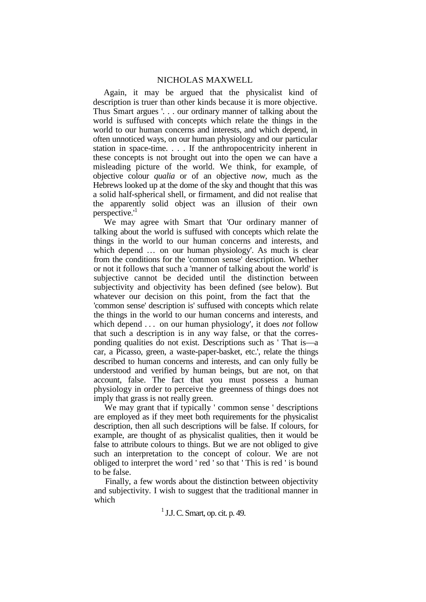Again, it may be argued that the physicalist kind of description is truer than other kinds because it is more objective. Thus Smart argues '. . . our ordinary manner of talking about the world is suffused with concepts which relate the things in the world to our human concerns and interests, and which depend, in often unnoticed ways, on our human physiology and our particular station in space-time. . . . If the anthropocentricity inherent in these concepts is not brought out into the open we can have a misleading picture of the world. We think, for example, of objective colour *qualia* or of an objective *now,* much as the Hebrews looked up at the dome of the sky and thought that this was a solid half-spherical shell, or firmament, and did not realise that the apparently solid object was an illusion of their own perspective.<sup>'1</sup>

We may agree with Smart that 'Our ordinary manner of talking about the world is suffused with concepts which relate the things in the world to our human concerns and interests, and which depend ... on our human physiology'. As much is clear from the conditions for the 'common sense' description. Whether or not it follows that such a 'manner of talking about the world' is subjective cannot be decided until the distinction between subjectivity and objectivity has been defined (see below). But whatever our decision on this point, from the fact that the

'common sense' description is' suffused with concepts which relate the things in the world to our human concerns and interests, and which depend . . . on our human physiology', it does *not* follow that such a description is in any way false, or that the corresponding qualities do not exist. Descriptions such as ' That is—a car, a Picasso, green, a waste-paper-basket, etc.', relate the things described to human concerns and interests, and can only fully be understood and verified by human beings, but are not, on that account, false. The fact that you must possess a human physiology in order to perceive the greenness of things does not imply that grass is not really green.

We may grant that if typically ' common sense ' descriptions are employed as if they meet both requirements for the physicalist description, then all such descriptions will be false. If colours, for example, are thought of as physicalist qualities, then it would be false to attribute colours to things. But we are not obliged to give such an interpretation to the concept of colour. We are not obliged to interpret the word ' red ' so that ' This is red ' is bound to be false.

Finally, a few words about the distinction between objectivity and subjectivity. I wish to suggest that the traditional manner in which

 $<sup>1</sup>$  J.J. C. Smart, op. cit. p. 49.</sup>